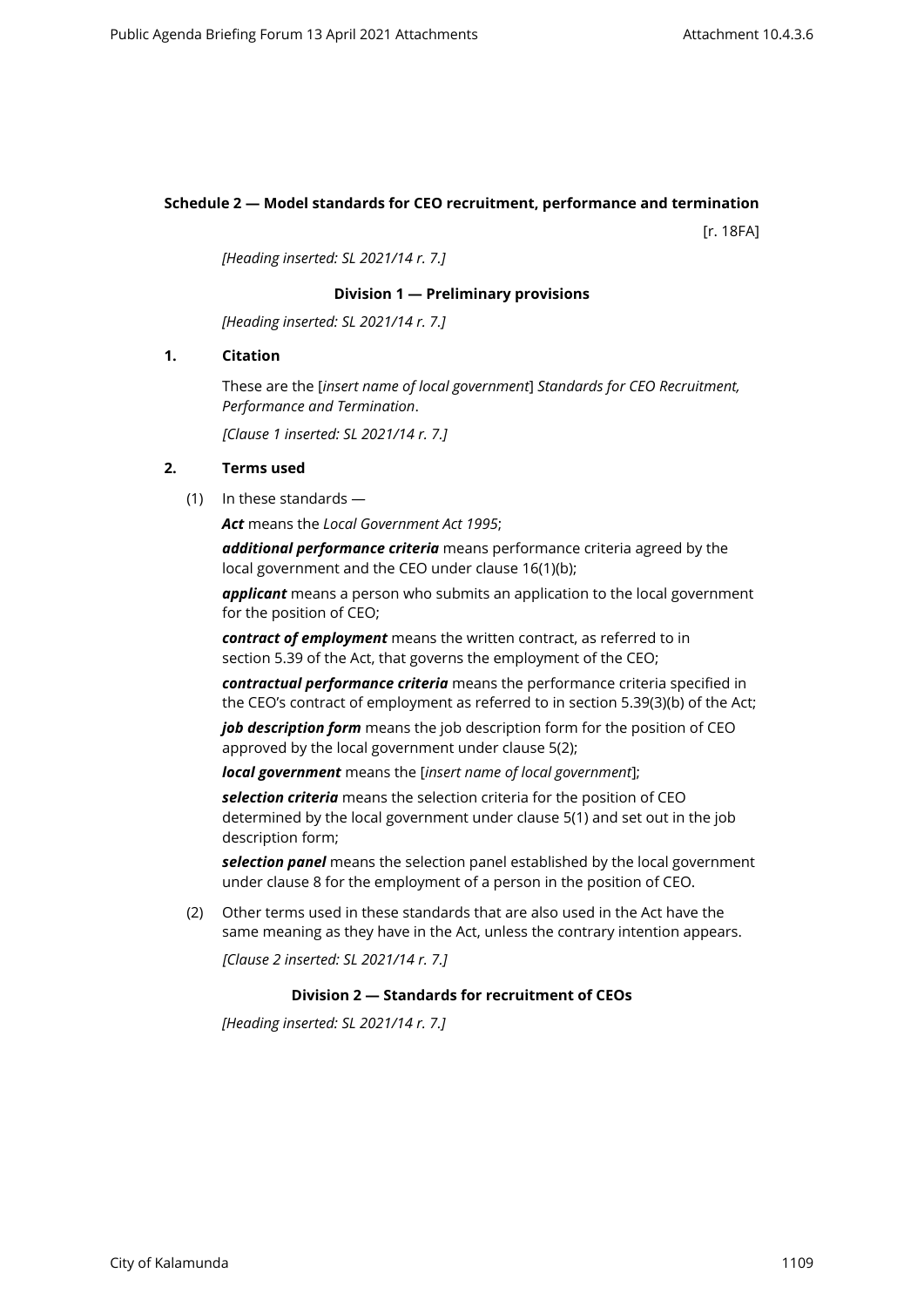# **Schedule 2 — Model standards for CEO recruitment, performance and termination**

[r. 18FA]

*[Heading inserted: SL 2021/14 r. 7.]*

### **Division 1 — Preliminary provisions**

*[Heading inserted: SL 2021/14 r. 7.]*

### **1. Citation**

These are the [*insert name of local government*] *Standards for CEO Recruitment, Performance and Termination*.

*[Clause 1 inserted: SL 2021/14 r. 7.]*

# **2. Terms used**

(1) In these standards —

*Act* means the *Local Government Act 1995*;

*additional performance criteria* means performance criteria agreed by the local government and the CEO under clause 16(1)(b);

*applicant* means a person who submits an application to the local government for the position of CEO;

*contract of employment* means the written contract, as referred to in section 5.39 of the Act, that governs the employment of the CEO;

*contractual performance criteria* means the performance criteria specified in the CEO's contract of employment as referred to in section 5.39(3)(b) of the Act;

*job description form* means the job description form for the position of CEO approved by the local government under clause 5(2);

*local government* means the [*insert name of local government*];

*selection criteria* means the selection criteria for the position of CEO determined by the local government under clause 5(1) and set out in the job description form;

*selection panel* means the selection panel established by the local government under clause 8 for the employment of a person in the position of CEO.

(2) Other terms used in these standards that are also used in the Act have the same meaning as they have in the Act, unless the contrary intention appears.

*[Clause 2 inserted: SL 2021/14 r. 7.]*

#### **Division 2 — Standards for recruitment of CEOs**

*[Heading inserted: SL 2021/14 r. 7.]*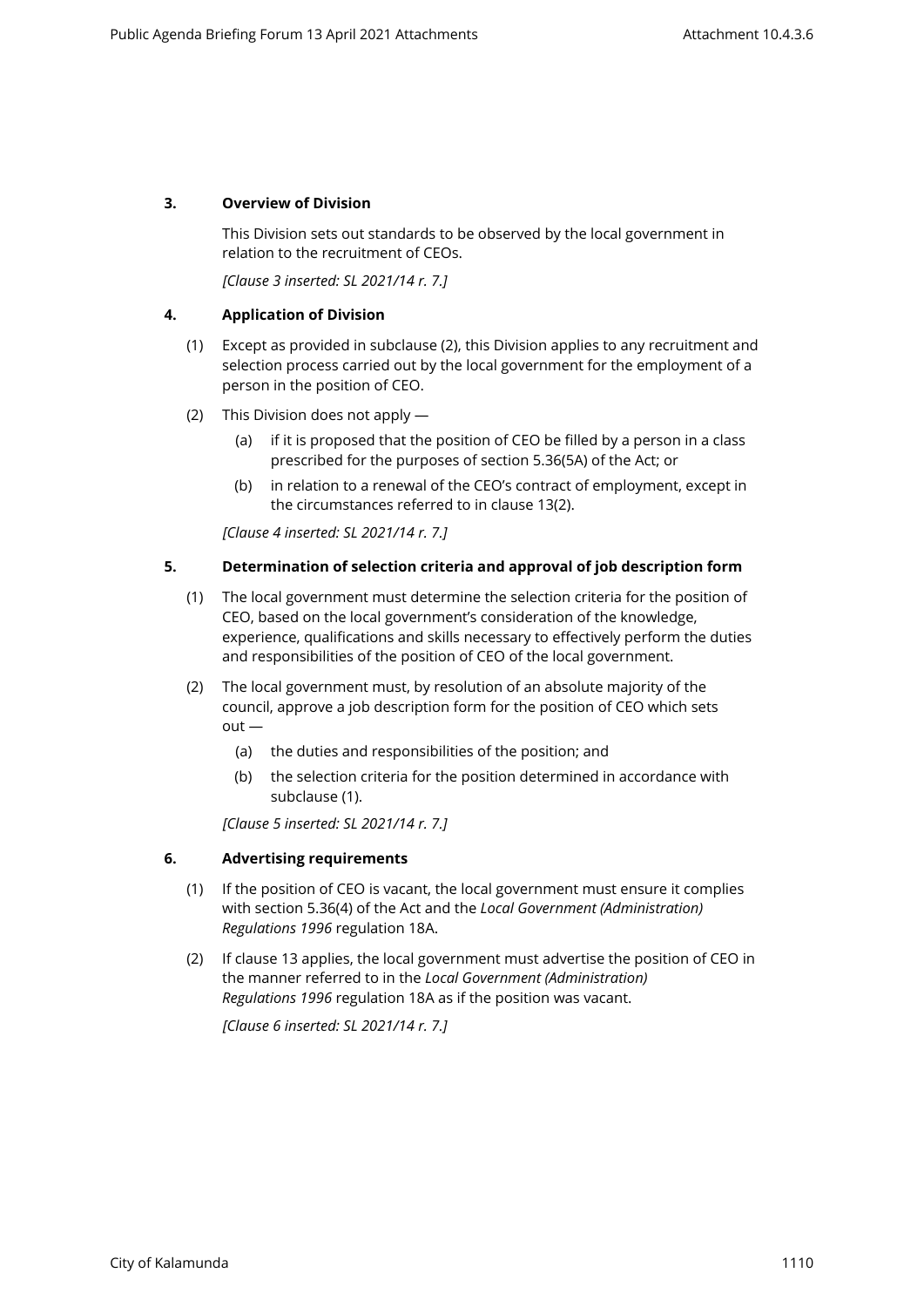## **3. Overview of Division**

This Division sets out standards to be observed by the local government in relation to the recruitment of CEOs.

*[Clause 3 inserted: SL 2021/14 r. 7.]*

### **4. Application of Division**

- (1) Except as provided in subclause (2), this Division applies to any recruitment and selection process carried out by the local government for the employment of a person in the position of CEO.
- (2) This Division does not apply
	- (a) if it is proposed that the position of CEO be filled by a person in a class prescribed for the purposes of section 5.36(5A) of the Act; or
	- (b) in relation to a renewal of the CEO's contract of employment, except in the circumstances referred to in clause 13(2).

*[Clause 4 inserted: SL 2021/14 r. 7.]*

### **5. Determination of selection criteria and approval of job description form**

- (1) The local government must determine the selection criteria for the position of CEO, based on the local government's consideration of the knowledge, experience, qualifications and skills necessary to effectively perform the duties and responsibilities of the position of CEO of the local government.
- (2) The local government must, by resolution of an absolute majority of the council, approve a job description form for the position of CEO which sets  $out -$ 
	- (a) the duties and responsibilities of the position; and
	- (b) the selection criteria for the position determined in accordance with subclause (1).

*[Clause 5 inserted: SL 2021/14 r. 7.]*

## **6. Advertising requirements**

- (1) If the position of CEO is vacant, the local government must ensure it complies with section 5.36(4) of the Act and the *Local Government (Administration) Regulations 1996* regulation 18A.
- (2) If clause 13 applies, the local government must advertise the position of CEO in the manner referred to in the *Local Government (Administration) Regulations 1996* regulation 18A as if the position was vacant.

*[Clause 6 inserted: SL 2021/14 r. 7.]*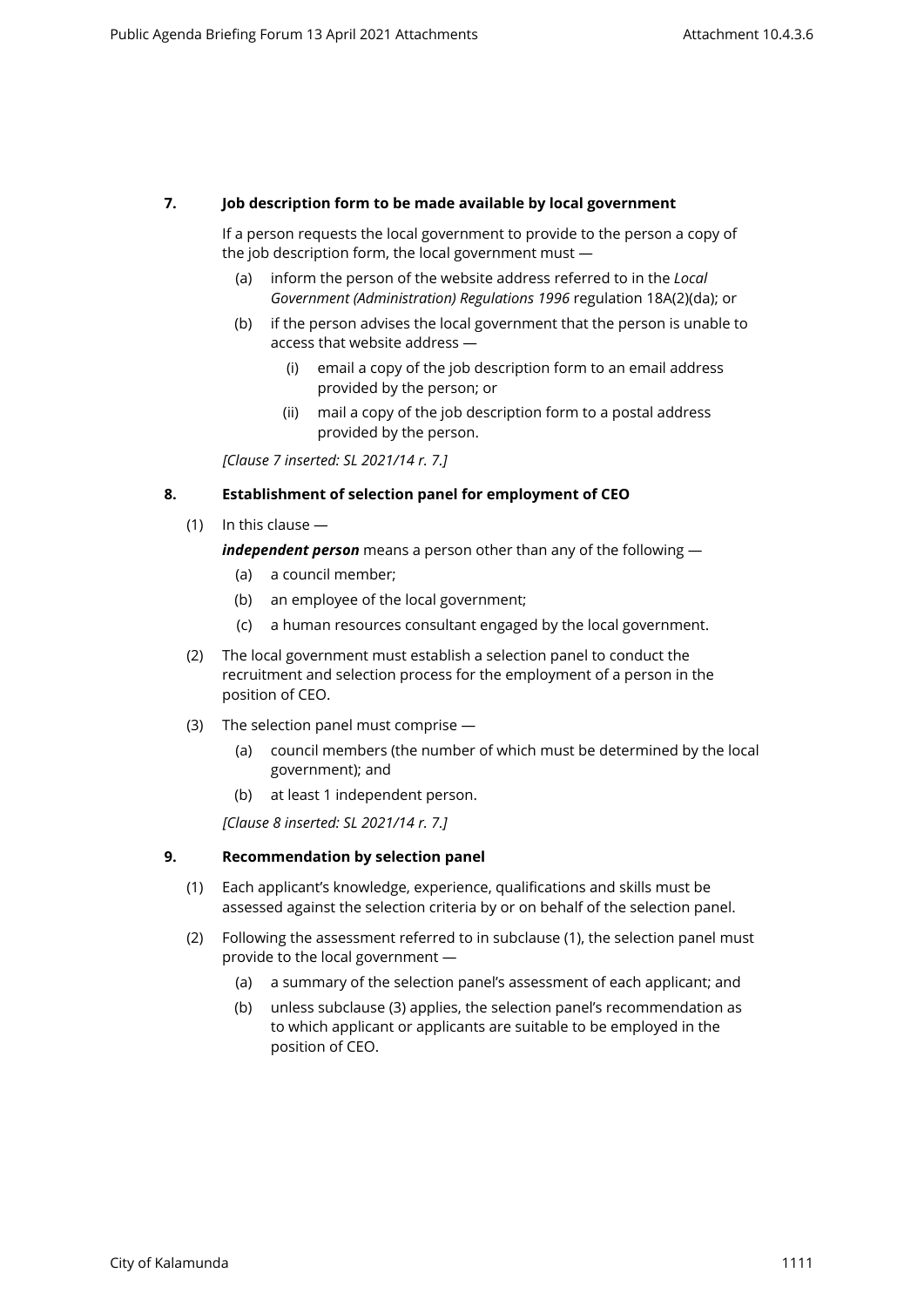# **7. Job description form to be made available by local government**

If a person requests the local government to provide to the person a copy of the job description form, the local government must —

- (a) inform the person of the website address referred to in the *Local Government (Administration) Regulations 1996* regulation 18A(2)(da); or
- (b) if the person advises the local government that the person is unable to access that website address —
	- (i) email a copy of the job description form to an email address provided by the person; or
	- (ii) mail a copy of the job description form to a postal address provided by the person.

*[Clause 7 inserted: SL 2021/14 r. 7.]*

### **8. Establishment of selection panel for employment of CEO**

(1) In this clause —

*independent person* means a person other than any of the following —

- (a) a council member;
- (b) an employee of the local government;
- (c) a human resources consultant engaged by the local government.
- (2) The local government must establish a selection panel to conduct the recruitment and selection process for the employment of a person in the position of CEO.
- (3) The selection panel must comprise
	- (a) council members (the number of which must be determined by the local government); and
	- (b) at least 1 independent person.

*[Clause 8 inserted: SL 2021/14 r. 7.]*

#### **9. Recommendation by selection panel**

- (1) Each applicant's knowledge, experience, qualifications and skills must be assessed against the selection criteria by or on behalf of the selection panel.
- (2) Following the assessment referred to in subclause (1), the selection panel must provide to the local government —
	- (a) a summary of the selection panel's assessment of each applicant; and
	- (b) unless subclause (3) applies, the selection panel's recommendation as to which applicant or applicants are suitable to be employed in the position of CEO.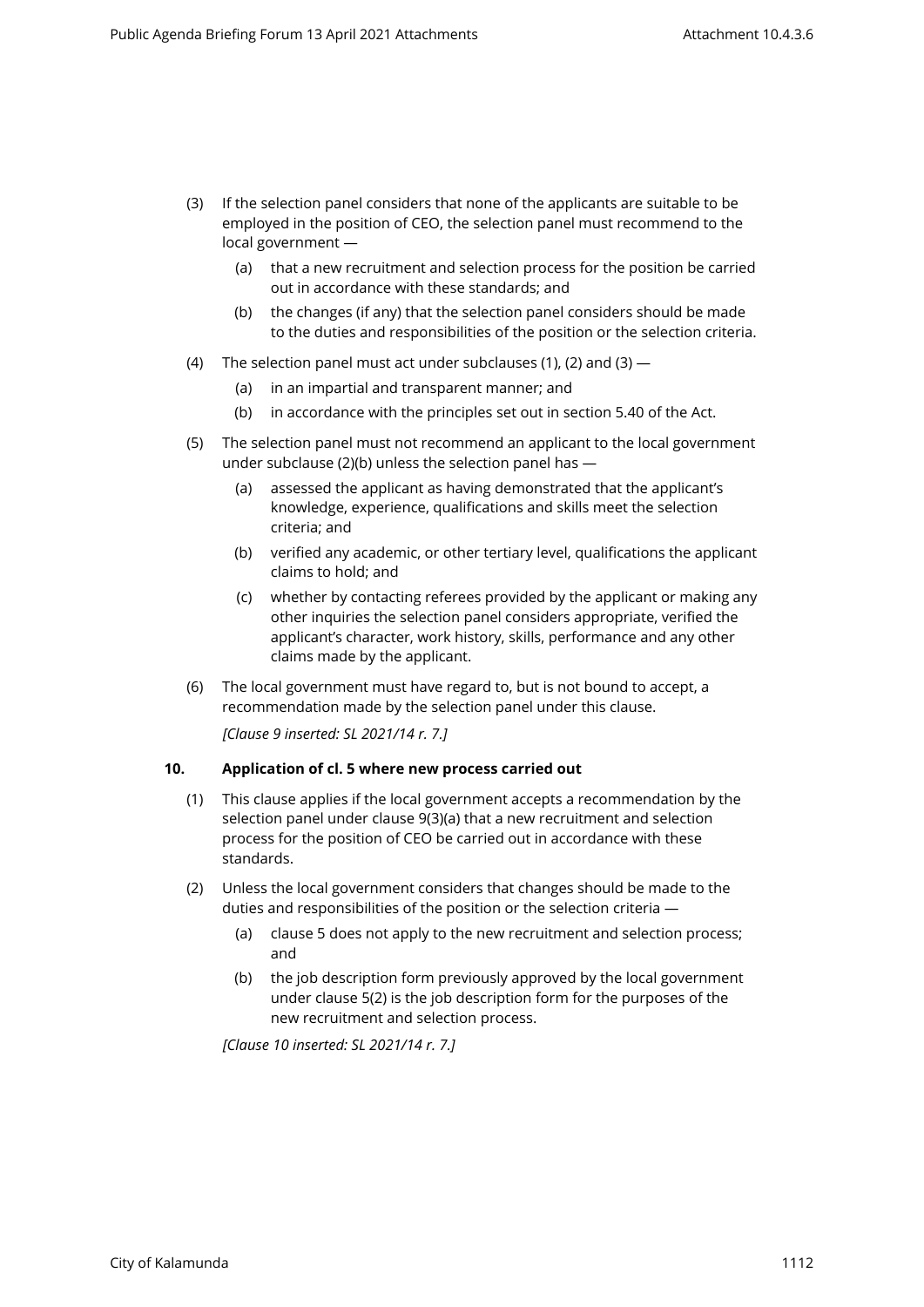- (3) If the selection panel considers that none of the applicants are suitable to be employed in the position of CEO, the selection panel must recommend to the local government —
	- (a) that a new recruitment and selection process for the position be carried out in accordance with these standards; and
	- (b) the changes (if any) that the selection panel considers should be made to the duties and responsibilities of the position or the selection criteria.
- (4) The selection panel must act under subclauses (1), (2) and (3)  $-$ 
	- (a) in an impartial and transparent manner; and
	- (b) in accordance with the principles set out in section 5.40 of the Act.
- (5) The selection panel must not recommend an applicant to the local government under subclause (2)(b) unless the selection panel has —
	- (a) assessed the applicant as having demonstrated that the applicant's knowledge, experience, qualifications and skills meet the selection criteria; and
	- (b) verified any academic, or other tertiary level, qualifications the applicant claims to hold; and
	- (c) whether by contacting referees provided by the applicant or making any other inquiries the selection panel considers appropriate, verified the applicant's character, work history, skills, performance and any other claims made by the applicant.
- (6) The local government must have regard to, but is not bound to accept, a recommendation made by the selection panel under this clause.

*[Clause 9 inserted: SL 2021/14 r. 7.]*

## **10. Application of cl. 5 where new process carried out**

- (1) This clause applies if the local government accepts a recommendation by the selection panel under clause 9(3)(a) that a new recruitment and selection process for the position of CEO be carried out in accordance with these standards.
- (2) Unless the local government considers that changes should be made to the duties and responsibilities of the position or the selection criteria —
	- (a) clause 5 does not apply to the new recruitment and selection process; and
	- (b) the job description form previously approved by the local government under clause 5(2) is the job description form for the purposes of the new recruitment and selection process.

*[Clause 10 inserted: SL 2021/14 r. 7.]*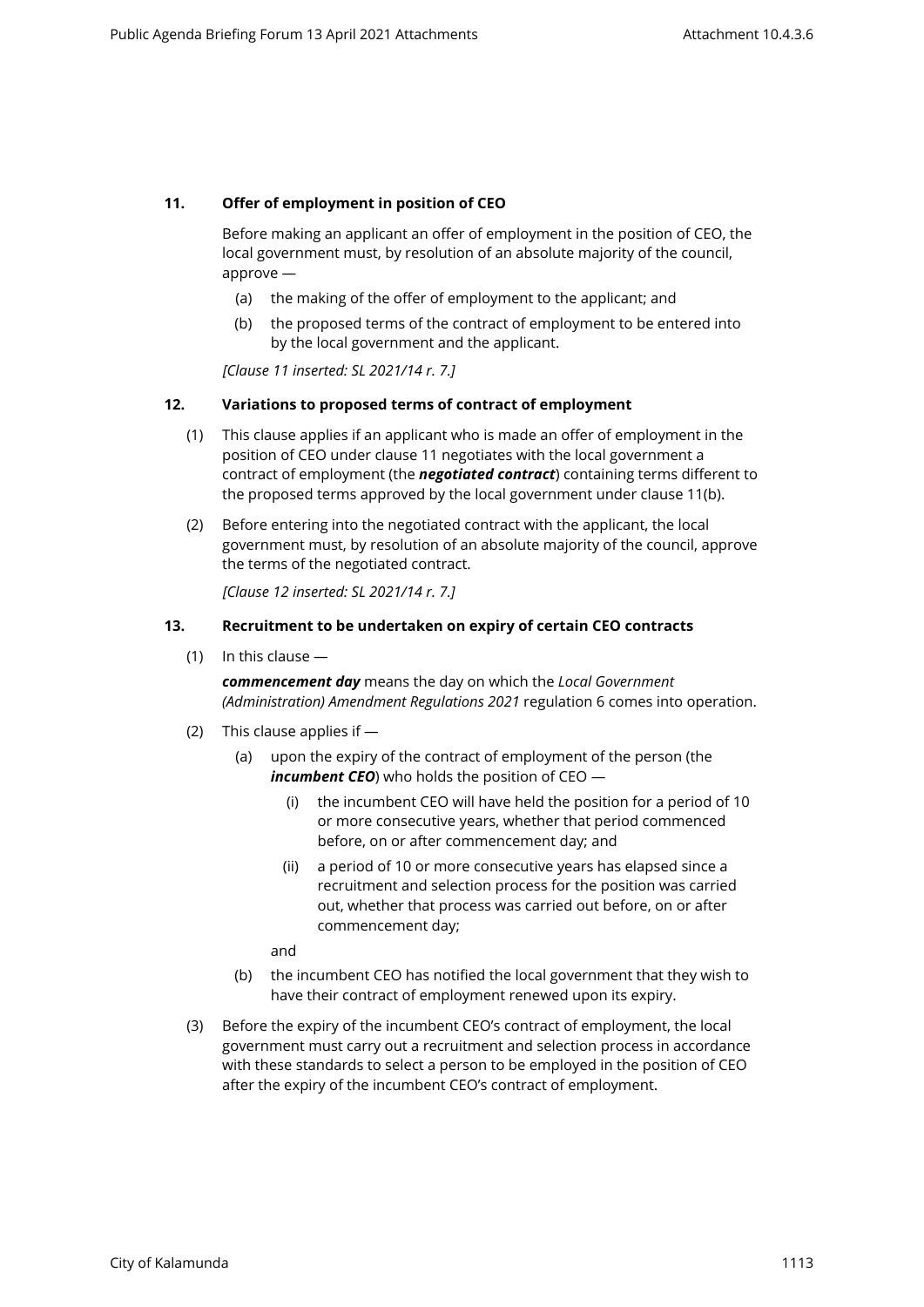## **11. Offer of employment in position of CEO**

Before making an applicant an offer of employment in the position of CEO, the local government must, by resolution of an absolute majority of the council, approve —

- (a) the making of the offer of employment to the applicant; and
- (b) the proposed terms of the contract of employment to be entered into by the local government and the applicant.

*[Clause 11 inserted: SL 2021/14 r. 7.]*

## **12. Variations to proposed terms of contract of employment**

- (1) This clause applies if an applicant who is made an offer of employment in the position of CEO under clause 11 negotiates with the local government a contract of employment (the *negotiated contract*) containing terms different to the proposed terms approved by the local government under clause 11(b).
- (2) Before entering into the negotiated contract with the applicant, the local government must, by resolution of an absolute majority of the council, approve the terms of the negotiated contract.

*[Clause 12 inserted: SL 2021/14 r. 7.]*

### **13. Recruitment to be undertaken on expiry of certain CEO contracts**

(1) In this clause —

*commencement day* means the day on which the *Local Government (Administration) Amendment Regulations 2021* regulation 6 comes into operation.

- (2) This clause applies if
	- (a) upon the expiry of the contract of employment of the person (the *incumbent CEO*) who holds the position of CEO —
		- (i) the incumbent CEO will have held the position for a period of 10 or more consecutive years, whether that period commenced before, on or after commencement day; and
		- (ii) a period of 10 or more consecutive years has elapsed since a recruitment and selection process for the position was carried out, whether that process was carried out before, on or after commencement day;

and

- (b) the incumbent CEO has notified the local government that they wish to have their contract of employment renewed upon its expiry.
- (3) Before the expiry of the incumbent CEO's contract of employment, the local government must carry out a recruitment and selection process in accordance with these standards to select a person to be employed in the position of CEO after the expiry of the incumbent CEO's contract of employment.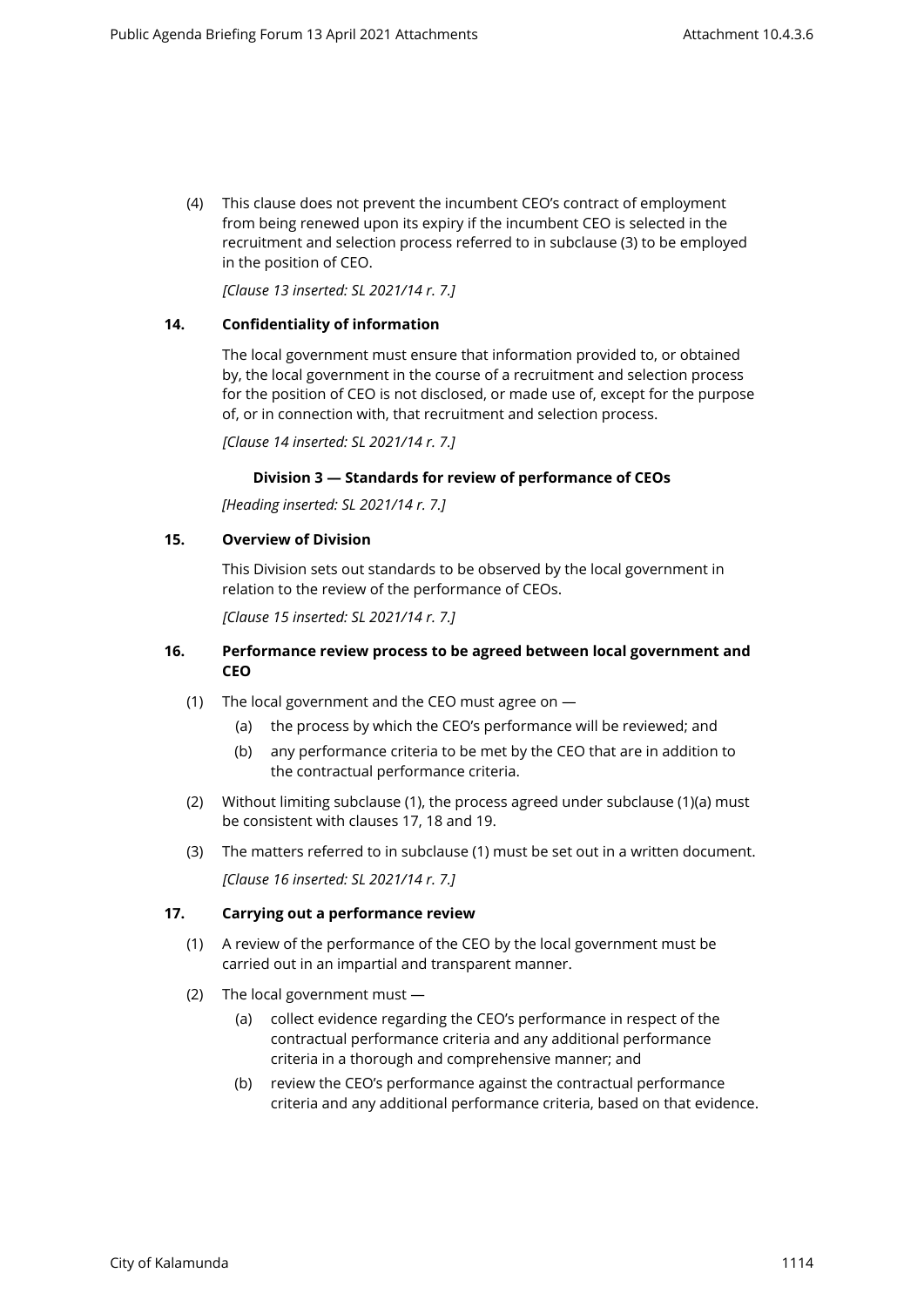(4) This clause does not prevent the incumbent CEO's contract of employment from being renewed upon its expiry if the incumbent CEO is selected in the recruitment and selection process referred to in subclause (3) to be employed in the position of CEO.

*[Clause 13 inserted: SL 2021/14 r. 7.]*

### **14. Confidentiality of information**

The local government must ensure that information provided to, or obtained by, the local government in the course of a recruitment and selection process for the position of CEO is not disclosed, or made use of, except for the purpose of, or in connection with, that recruitment and selection process.

*[Clause 14 inserted: SL 2021/14 r. 7.]*

### **Division 3 — Standards for review of performance of CEOs**

*[Heading inserted: SL 2021/14 r. 7.]*

### **15. Overview of Division**

This Division sets out standards to be observed by the local government in relation to the review of the performance of CEOs.

*[Clause 15 inserted: SL 2021/14 r. 7.]*

### **16. Performance review process to be agreed between local government and CEO**

- (1) The local government and the CEO must agree on
	- (a) the process by which the CEO's performance will be reviewed; and
	- (b) any performance criteria to be met by the CEO that are in addition to the contractual performance criteria.
- (2) Without limiting subclause (1), the process agreed under subclause (1)(a) must be consistent with clauses 17, 18 and 19.
- (3) The matters referred to in subclause (1) must be set out in a written document. *[Clause 16 inserted: SL 2021/14 r. 7.]*

#### **17. Carrying out a performance review**

- (1) A review of the performance of the CEO by the local government must be carried out in an impartial and transparent manner.
- (2) The local government must
	- (a) collect evidence regarding the CEO's performance in respect of the contractual performance criteria and any additional performance criteria in a thorough and comprehensive manner; and
	- (b) review the CEO's performance against the contractual performance criteria and any additional performance criteria, based on that evidence.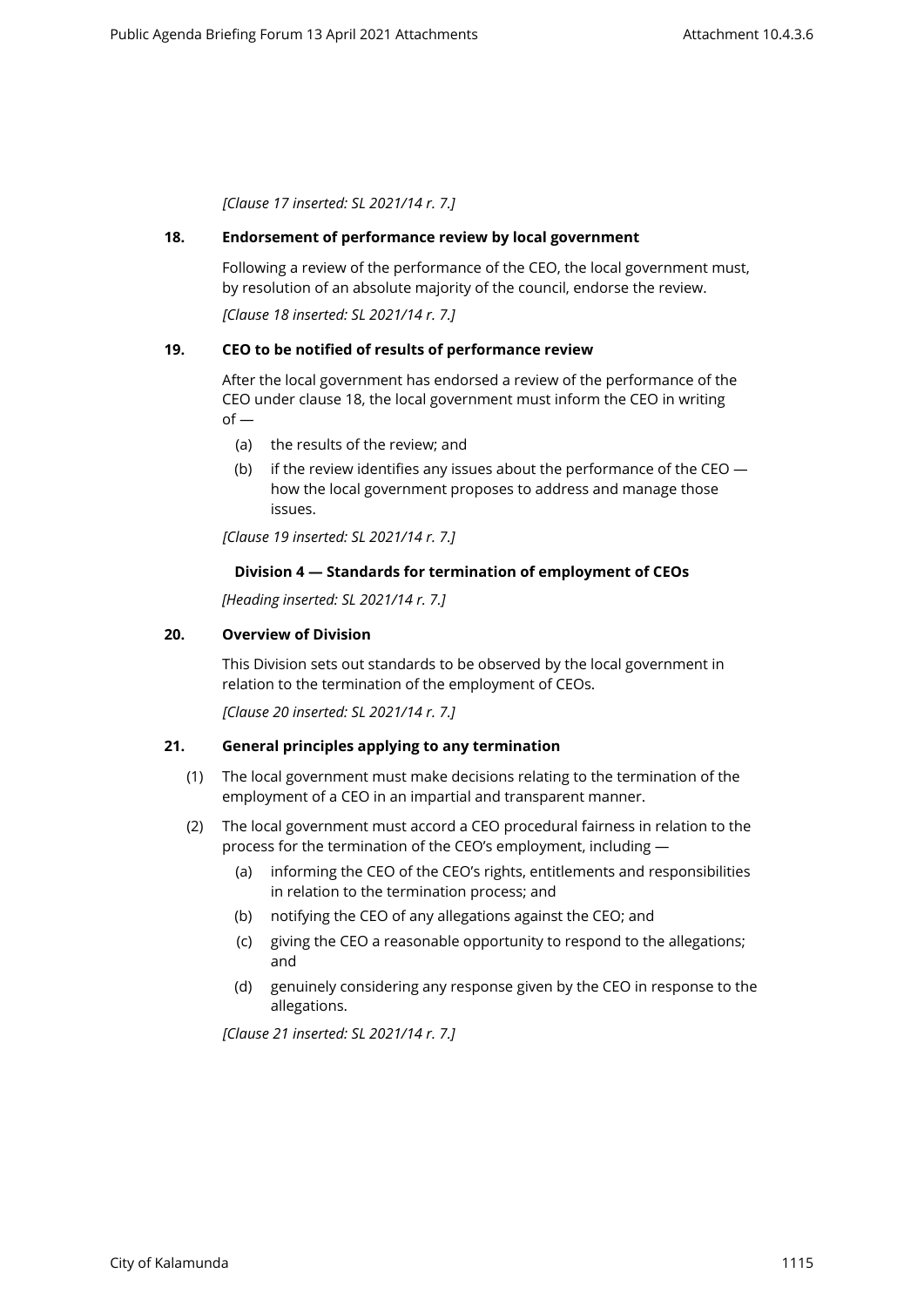*[Clause 17 inserted: SL 2021/14 r. 7.]*

### **18. Endorsement of performance review by local government**

Following a review of the performance of the CEO, the local government must, by resolution of an absolute majority of the council, endorse the review.

*[Clause 18 inserted: SL 2021/14 r. 7.]*

## **19. CEO to be notified of results of performance review**

After the local government has endorsed a review of the performance of the CEO under clause 18, the local government must inform the CEO in writing  $of -$ 

- (a) the results of the review; and
- (b) if the review identifies any issues about the performance of the CEO  $$ how the local government proposes to address and manage those issues.

*[Clause 19 inserted: SL 2021/14 r. 7.]*

### **Division 4 — Standards for termination of employment of CEOs**

*[Heading inserted: SL 2021/14 r. 7.]*

### **20. Overview of Division**

This Division sets out standards to be observed by the local government in relation to the termination of the employment of CEOs.

*[Clause 20 inserted: SL 2021/14 r. 7.]*

#### **21. General principles applying to any termination**

- (1) The local government must make decisions relating to the termination of the employment of a CEO in an impartial and transparent manner.
- (2) The local government must accord a CEO procedural fairness in relation to the process for the termination of the CEO's employment, including —
	- (a) informing the CEO of the CEO's rights, entitlements and responsibilities in relation to the termination process; and
	- (b) notifying the CEO of any allegations against the CEO; and
	- (c) giving the CEO a reasonable opportunity to respond to the allegations; and
	- (d) genuinely considering any response given by the CEO in response to the allegations.

*[Clause 21 inserted: SL 2021/14 r. 7.]*